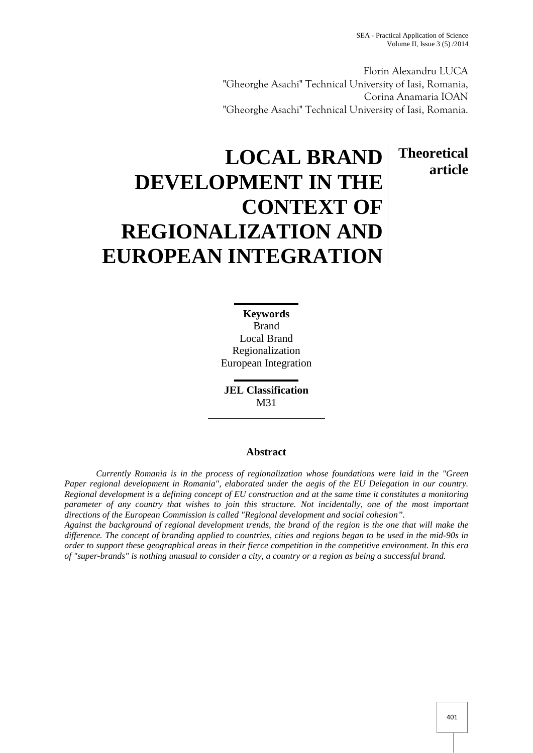**Theoretical**

**article**

Florin Alexandru LUCA "Gheorghe Asachi" Technical University of Iasi, Romania, Corina Anamaria IOAN "Gheorghe Asachi" Technical University of Iasi, Romania.

# **LOCAL BRAND DEVELOPMENT IN THE CONTEXT OF REGIONALIZATION AND EUROPEAN INTEGRATION**

**Keywords** Brand Local Brand Regionalization European Integration

**JEL Classification** M31

## **Abstract**

*Currently Romania is in the process of regionalization whose foundations were laid in the "Green Paper regional development in Romania", elaborated under the aegis of the EU Delegation in our country. Regional development is a defining concept of EU construction and at the same time it constitutes a monitoring parameter of any country that wishes to join this structure. Not incidentally, one of the most important directions of the European Commission is called "Regional development and social cohesion".*

*Against the background of regional development trends, the brand of the region is the one that will make the difference. The concept of branding applied to countries, cities and regions began to be used in the mid-90s in order to support these geographical areas in their fierce competition in the competitive environment. In this era of "super-brands" is nothing unusual to consider a city, a country or a region as being a successful brand.*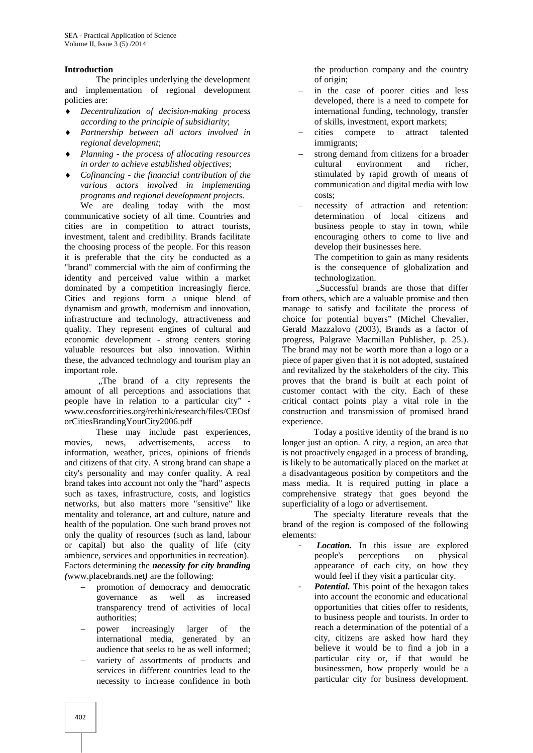### **Introduction**

The principles underlying the development and implementation of regional development policies are:

- *Decentralization of decision-making process according to the principle of subsidiarity*;
- *Partnership between all actors involved in regional development*;
- *Planning - the process of allocating resources in order to achieve established objectives*;
- *Cofinancing - the financial contribution of the various actors involved in implementing programs and regional development projects*.

We are dealing today with the most communicative society of all time. Countries and cities are in competition to attract tourists, investment, talent and credibility. Brands facilitate the choosing process of the people. For this reason it is preferable that the city be conducted as a "brand" commercial with the aim of confirming the identity and perceived value within a market dominated by a competition increasingly fierce. Cities and regions form a unique blend of dynamism and growth, modernism and innovation, infrastructure and technology, attractiveness and quality. They represent engines of cultural and economic development - strong centers storing valuable resources but also innovation. Within these, the advanced technology and tourism play an important role.

"The brand of a city represents the amount of all perceptions and associations that people have in relation to a particular city" www.ceosforcities.org/rethink/research/files/CEOsf orCitiesBrandingYourCity2006.pdf

These may include past experiences, movies, news, advertisements, access to information, weather, prices, opinions of friends and citizens of that city. A strong brand can shape a city's personality and may confer quality. A real brand takes into account not only the "hard" aspects such as taxes, infrastructure, costs, and logistics networks, but also matters more "sensitive" like mentality and tolerance, art and culture, nature and health of the population. One such brand proves not only the quality of resources (such as land, labour or capital) but also the quality of life (city ambience, services and opportunities in recreation). Factors determining the *necessity for city branding (*www.placebrands.net*)* are the following:

- promotion of democracy and democratic governance as well as increased transparency trend of activities of local authorities;
- power increasingly larger of the international media, generated by an audience that seeks to be as well informed;
- variety of assortments of products and services in different countries lead to the necessity to increase confidence in both

the production company and the country of origin;

- in the case of poorer cities and less developed, there is a need to compete for international funding, technology, transfer of skills, investment, export markets;
- cities compete to attract talented immigrants;
- strong demand from citizens for a broader cultural environment and richer stimulated by rapid growth of means of communication and digital media with low costs;
- necessity of attraction and retention: determination of local citizens and business people to stay in town, while encouraging others to come to live and develop their businesses here.

The competition to gain as many residents is the consequence of globalization and technologization.

, Successful brands are those that differ from others, which are a valuable promise and then manage to satisfy and facilitate the process of choice for potential buyers" (Michel Chevalier, Gerald Mazzalovo (2003), Brands as a factor of progress, Palgrave Macmillan Publisher, p. 25.). The brand may not be worth more than a logo or a piece of paper given that it is not adopted, sustained and revitalized by the stakeholders of the city. This proves that the brand is built at each point of customer contact with the city. Each of these critical contact points play a vital role in the construction and transmission of promised brand experience.

Today a positive identity of the brand is no longer just an option. A city, a region, an area that is not proactively engaged in a process of branding, is likely to be automatically placed on the market at a disadvantageous position by competitors and the mass media. It is required putting in place a comprehensive strategy that goes beyond the superficiality of a logo or advertisement.

The specialty literature reveals that the brand of the region is composed of the following elements:

- Location. In this issue are explored people's perceptions on physical appearance of each city, on how they would feel if they visit a particular city.
- Potential. This point of the hexagon takes into account the economic and educational opportunities that cities offer to residents, to business people and tourists. In order to reach a determination of the potential of a city, citizens are asked how hard they believe it would be to find a job in a particular city or, if that would be businessmen, how properly would be a particular city for business development.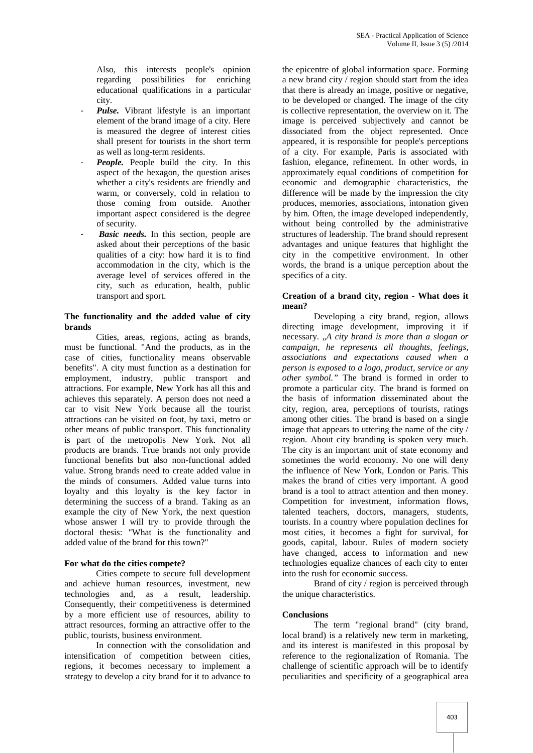Also, this interests people's opinion regarding possibilities for enriching educational qualifications in a particular city.

- Pulse. Vibrant lifestyle is an important element of the brand image of a city. Here is measured the degree of interest cities shall present for tourists in the short term as well as long-term residents.
- **People.** People build the city. In this aspect of the hexagon, the question arises whether a city's residents are friendly and warm, or conversely, cold in relation to those coming from outside. Another important aspect considered is the degree of security.
- **Basic needs.** In this section, people are asked about their perceptions of the basic qualities of a city: how hard it is to find accommodation in the city, which is the average level of services offered in the city, such as education, health, public transport and sport.

### **The functionality and the added value of city brands**

Cities, areas, regions, acting as brands, must be functional. "And the products, as in the case of cities, functionality means observable benefits". A city must function as a destination for employment, industry, public transport and attractions. For example, New York has all this and achieves this separately. A person does not need a car to visit New York because all the tourist attractions can be visited on foot, by taxi, metro or other means of public transport. This functionality is part of the metropolis New York. Not all products are brands. True brands not only provide functional benefits but also non-functional added value. Strong brands need to create added value in the minds of consumers. Added value turns into loyalty and this loyalty is the key factor in determining the success of a brand. Taking as an example the city of New York, the next question whose answer I will try to provide through the doctoral thesis: "What is the functionality and added value of the brand for this town?"

### **For what do the cities compete?**

Cities compete to secure full development and achieve human resources, investment, new technologies and, as a result, leadership. Consequently, their competitiveness is determined by a more efficient use of resources, ability to attract resources, forming an attractive offer to the public, tourists, business environment.

In connection with the consolidation and intensification of competition between cities, regions, it becomes necessary to implement a strategy to develop a city brand for it to advance to

the epicentre of global information space. Forming a new brand city / region should start from the idea that there is already an image, positive or negative, to be developed or changed. The image of the city is collective representation, the overview on it. The image is perceived subjectively and cannot be dissociated from the object represented. Once appeared, it is responsible for people's perceptions of a city. For example, Paris is associated with fashion, elegance, refinement. In other words, in approximately equal conditions of competition for economic and demographic characteristics, the difference will be made by the impression the city produces, memories, associations, intonation given by him. Often, the image developed independently, without being controlled by the administrative structures of leadership. The brand should represent advantages and unique features that highlight the city in the competitive environment. In other words, the brand is a unique perception about the specifics of a city.

#### **Creation of a brand city, region - What does it mean?**

Developing a city brand, region, allows directing image development, improving it if necessary. "*A city brand is more than a slogan or campaign, he represents all thoughts, feelings, associations and expectations caused when a person is exposed to a logo, product, service or any other symbol."* The brand is formed in order to promote a particular city. The brand is formed on the basis of information disseminated about the city, region, area, perceptions of tourists, ratings among other cities. The brand is based on a single image that appears to uttering the name of the city / region. About city branding is spoken very much. The city is an important unit of state economy and sometimes the world economy. No one will deny the influence of New York, London or Paris. This makes the brand of cities very important. A good brand is a tool to attract attention and then money. Competition for investment, information flows, talented teachers, doctors, managers, students, tourists. In a country where population declines for most cities, it becomes a fight for survival, for goods, capital, labour. Rules of modern society have changed, access to information and new technologies equalize chances of each city to enter into the rush for economic success.

Brand of city / region is perceived through the unique characteristics.

### **Conclusions**

The term "regional brand" (city brand, local brand) is a relatively new term in marketing, and its interest is manifested in this proposal by reference to the regionalization of Romania. The challenge of scientific approach will be to identify peculiarities and specificity of a geographical area